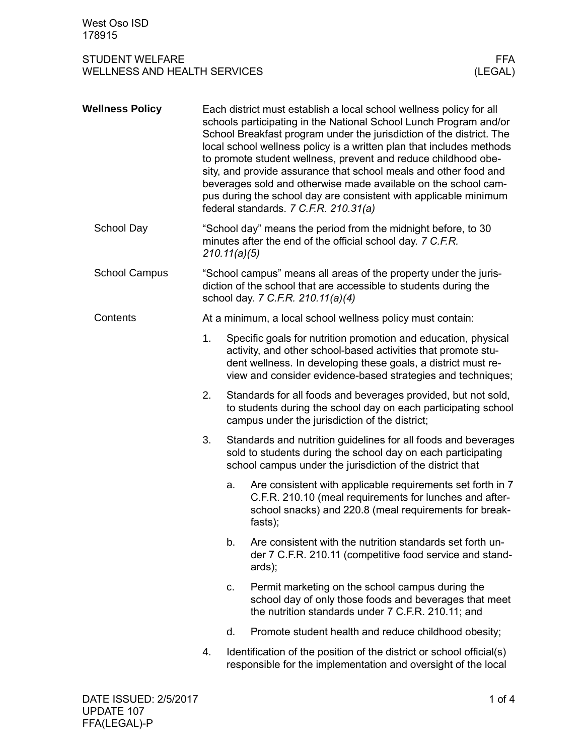## STUDENT WELFARE WELLNESS AND HEALTH SERVICES

| <b>Wellness Policy</b> |    | Each district must establish a local school wellness policy for all<br>schools participating in the National School Lunch Program and/or<br>School Breakfast program under the jurisdiction of the district. The<br>local school wellness policy is a written plan that includes methods<br>to promote student wellness, prevent and reduce childhood obe-<br>sity, and provide assurance that school meals and other food and<br>beverages sold and otherwise made available on the school cam-<br>pus during the school day are consistent with applicable minimum<br>federal standards. 7 C.F.R. 210.31(a) |                                                                                                                                                                                            |  |  |  |
|------------------------|----|---------------------------------------------------------------------------------------------------------------------------------------------------------------------------------------------------------------------------------------------------------------------------------------------------------------------------------------------------------------------------------------------------------------------------------------------------------------------------------------------------------------------------------------------------------------------------------------------------------------|--------------------------------------------------------------------------------------------------------------------------------------------------------------------------------------------|--|--|--|
| School Day             |    | "School day" means the period from the midnight before, to 30<br>minutes after the end of the official school day. 7 C.F.R.<br>210.11(a)(5)                                                                                                                                                                                                                                                                                                                                                                                                                                                                   |                                                                                                                                                                                            |  |  |  |
| <b>School Campus</b>   |    | "School campus" means all areas of the property under the juris-<br>diction of the school that are accessible to students during the<br>school day. 7 C.F.R. 210.11(a)(4)                                                                                                                                                                                                                                                                                                                                                                                                                                     |                                                                                                                                                                                            |  |  |  |
| Contents               |    | At a minimum, a local school wellness policy must contain:                                                                                                                                                                                                                                                                                                                                                                                                                                                                                                                                                    |                                                                                                                                                                                            |  |  |  |
|                        | 1. | Specific goals for nutrition promotion and education, physical<br>activity, and other school-based activities that promote stu-<br>dent wellness. In developing these goals, a district must re-<br>view and consider evidence-based strategies and techniques;                                                                                                                                                                                                                                                                                                                                               |                                                                                                                                                                                            |  |  |  |
|                        | 2. | Standards for all foods and beverages provided, but not sold,<br>to students during the school day on each participating school<br>campus under the jurisdiction of the district;                                                                                                                                                                                                                                                                                                                                                                                                                             |                                                                                                                                                                                            |  |  |  |
|                        | 3. | Standards and nutrition guidelines for all foods and beverages<br>sold to students during the school day on each participating<br>school campus under the jurisdiction of the district that                                                                                                                                                                                                                                                                                                                                                                                                                   |                                                                                                                                                                                            |  |  |  |
|                        |    | a.                                                                                                                                                                                                                                                                                                                                                                                                                                                                                                                                                                                                            | Are consistent with applicable requirements set forth in 7<br>C.F.R. 210.10 (meal requirements for lunches and after-<br>school snacks) and 220.8 (meal requirements for break-<br>fasts); |  |  |  |
|                        |    | b.                                                                                                                                                                                                                                                                                                                                                                                                                                                                                                                                                                                                            | Are consistent with the nutrition standards set forth un-<br>der 7 C.F.R. 210.11 (competitive food service and stand-<br>ards);                                                            |  |  |  |
|                        |    | C.                                                                                                                                                                                                                                                                                                                                                                                                                                                                                                                                                                                                            | Permit marketing on the school campus during the<br>school day of only those foods and beverages that meet<br>the nutrition standards under 7 C.F.R. 210.11; and                           |  |  |  |
|                        |    | d.                                                                                                                                                                                                                                                                                                                                                                                                                                                                                                                                                                                                            | Promote student health and reduce childhood obesity;                                                                                                                                       |  |  |  |
|                        | 4. |                                                                                                                                                                                                                                                                                                                                                                                                                                                                                                                                                                                                               | Identification of the position of the district or school official(s)<br>responsible for the implementation and oversight of the local                                                      |  |  |  |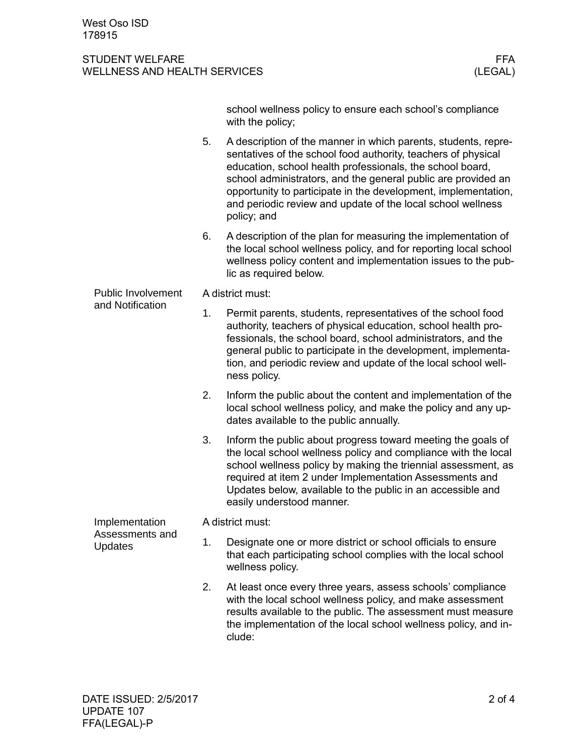## STUDENT WELFARE FFA<br>WELLNESS AND HEALTH SERVICES WELLNESS (LEGAL) WELLNESS AND HEALTH SERVICES

|                                                     |                  | school wellness policy to ensure each school's compliance<br>with the policy;                                                                                                                                                                                                                                                                                                                                 |  |  |  |  |
|-----------------------------------------------------|------------------|---------------------------------------------------------------------------------------------------------------------------------------------------------------------------------------------------------------------------------------------------------------------------------------------------------------------------------------------------------------------------------------------------------------|--|--|--|--|
|                                                     | 5.               | A description of the manner in which parents, students, repre-<br>sentatives of the school food authority, teachers of physical<br>education, school health professionals, the school board,<br>school administrators, and the general public are provided an<br>opportunity to participate in the development, implementation,<br>and periodic review and update of the local school wellness<br>policy; and |  |  |  |  |
|                                                     | 6.               | A description of the plan for measuring the implementation of<br>the local school wellness policy, and for reporting local school<br>wellness policy content and implementation issues to the pub-<br>lic as required below.                                                                                                                                                                                  |  |  |  |  |
| <b>Public Involvement</b><br>and Notification       | A district must: |                                                                                                                                                                                                                                                                                                                                                                                                               |  |  |  |  |
|                                                     | 1.               | Permit parents, students, representatives of the school food<br>authority, teachers of physical education, school health pro-<br>fessionals, the school board, school administrators, and the<br>general public to participate in the development, implementa-<br>tion, and periodic review and update of the local school well-<br>ness policy.                                                              |  |  |  |  |
|                                                     | 2.               | Inform the public about the content and implementation of the<br>local school wellness policy, and make the policy and any up-<br>dates available to the public annually.                                                                                                                                                                                                                                     |  |  |  |  |
|                                                     | 3.               | Inform the public about progress toward meeting the goals of<br>the local school wellness policy and compliance with the local<br>school wellness policy by making the triennial assessment, as<br>required at item 2 under Implementation Assessments and<br>Updates below, available to the public in an accessible and<br>easily understood manner.                                                        |  |  |  |  |
| Implementation<br>Assessments and<br><b>Updates</b> |                  | A district must:                                                                                                                                                                                                                                                                                                                                                                                              |  |  |  |  |
|                                                     | 1.               | Designate one or more district or school officials to ensure<br>that each participating school complies with the local school<br>wellness policy.                                                                                                                                                                                                                                                             |  |  |  |  |
|                                                     | 2.               | At least once every three years, assess schools' compliance<br>with the local school wellness policy, and make assessment<br>results available to the public. The assessment must measure<br>the implementation of the local school wellness policy, and in-<br>clude:                                                                                                                                        |  |  |  |  |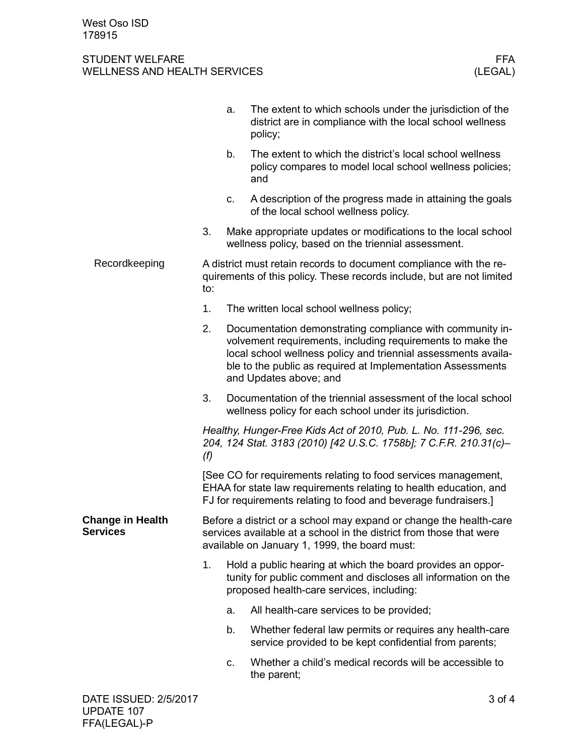## STUDENT WELFARE FFA<br>WELLNESS AND HEALTH SERVICES WELLNESS (LEGAL) WELLNESS AND HEALTH SERVICES

|                                     |                                                                                                                                                                                                        | a.                                                                                                                                                                         | The extent to which schools under the jurisdiction of the<br>district are in compliance with the local school wellness<br>policy;                                                                                                                                                  |  |  |
|-------------------------------------|--------------------------------------------------------------------------------------------------------------------------------------------------------------------------------------------------------|----------------------------------------------------------------------------------------------------------------------------------------------------------------------------|------------------------------------------------------------------------------------------------------------------------------------------------------------------------------------------------------------------------------------------------------------------------------------|--|--|
|                                     |                                                                                                                                                                                                        | b.                                                                                                                                                                         | The extent to which the district's local school wellness<br>policy compares to model local school wellness policies;<br>and                                                                                                                                                        |  |  |
|                                     |                                                                                                                                                                                                        | c.                                                                                                                                                                         | A description of the progress made in attaining the goals<br>of the local school wellness policy.                                                                                                                                                                                  |  |  |
|                                     | 3.                                                                                                                                                                                                     |                                                                                                                                                                            | Make appropriate updates or modifications to the local school<br>wellness policy, based on the triennial assessment.                                                                                                                                                               |  |  |
| Recordkeeping                       | A district must retain records to document compliance with the re-<br>quirements of this policy. These records include, but are not limited<br>to:                                                     |                                                                                                                                                                            |                                                                                                                                                                                                                                                                                    |  |  |
|                                     | 1.                                                                                                                                                                                                     |                                                                                                                                                                            | The written local school wellness policy;                                                                                                                                                                                                                                          |  |  |
|                                     | 2.                                                                                                                                                                                                     |                                                                                                                                                                            | Documentation demonstrating compliance with community in-<br>volvement requirements, including requirements to make the<br>local school wellness policy and triennial assessments availa-<br>ble to the public as required at Implementation Assessments<br>and Updates above; and |  |  |
|                                     | 3.                                                                                                                                                                                                     |                                                                                                                                                                            | Documentation of the triennial assessment of the local school<br>wellness policy for each school under its jurisdiction.                                                                                                                                                           |  |  |
|                                     | Healthy, Hunger-Free Kids Act of 2010, Pub. L. No. 111-296, sec.<br>204, 124 Stat. 3183 (2010) [42 U.S.C. 1758b]; 7 C.F.R. 210.31(c)-<br>(f)                                                           |                                                                                                                                                                            |                                                                                                                                                                                                                                                                                    |  |  |
|                                     | [See CO for requirements relating to food services management,<br>EHAA for state law requirements relating to health education, and<br>FJ for requirements relating to food and beverage fundraisers.] |                                                                                                                                                                            |                                                                                                                                                                                                                                                                                    |  |  |
| <b>Change in Health</b><br>Services | Before a district or a school may expand or change the health-care<br>services available at a school in the district from those that were<br>available on January 1, 1999, the board must:             |                                                                                                                                                                            |                                                                                                                                                                                                                                                                                    |  |  |
|                                     | 1.                                                                                                                                                                                                     | Hold a public hearing at which the board provides an oppor-<br>tunity for public comment and discloses all information on the<br>proposed health-care services, including: |                                                                                                                                                                                                                                                                                    |  |  |
|                                     |                                                                                                                                                                                                        | a.                                                                                                                                                                         | All health-care services to be provided;                                                                                                                                                                                                                                           |  |  |
|                                     |                                                                                                                                                                                                        | b.                                                                                                                                                                         | Whether federal law permits or requires any health-care<br>service provided to be kept confidential from parents;                                                                                                                                                                  |  |  |
|                                     |                                                                                                                                                                                                        | C.                                                                                                                                                                         | Whether a child's medical records will be accessible to<br>the parent;                                                                                                                                                                                                             |  |  |
| DATE ISSUED: 2/5/2017               |                                                                                                                                                                                                        |                                                                                                                                                                            | 3 of 4                                                                                                                                                                                                                                                                             |  |  |